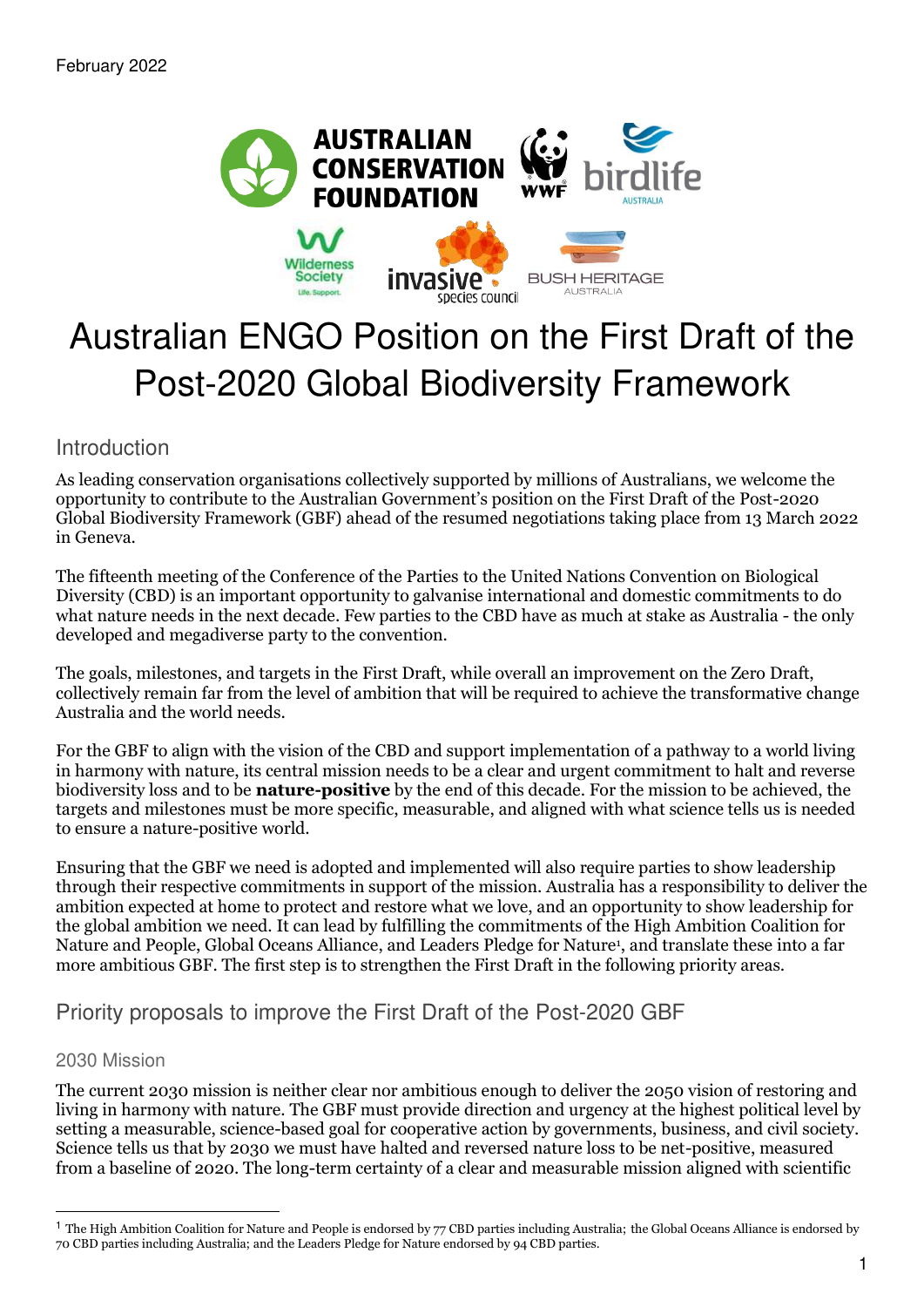

# Australian ENGO Position on the First Draft of the Post-2020 Global Biodiversity Framework

Introduction

As leading conservation organisations collectively supported by millions of Australians, we welcome the opportunity to contribute to the Australian Government's position on the First Draft of the Post-2020 Global Biodiversity Framework (GBF) ahead of the resumed negotiations taking place from 13 March 2022 in Geneva.

Th[e fifteenth meeting of the Conference of the Parties](https://www.cbd.int/conferences/2021-2022) to the United Nations Convention on Biological Diversity (CBD) is an important opportunity to galvanise international and domestic commitments to do what nature needs in the next decade. Few parties to the CBD have as much at stake as Australia - the only developed and megadiverse party to the convention.

The goals, milestones, and targets in the First Draft, while overall an improvement on the Zero Draft, collectively remain far from the level of ambition that will be required to achieve the transformative change Australia and the world needs.

For the GBF to align with the vision of the CBD and support implementation of a pathway to a world living in harmony with nature, its central mission needs to be a clear and urgent commitment to halt and reverse biodiversity loss and to be **nature-positive** by the end of this decade. For the mission to be achieved, the targets and milestones must be more specific, measurable, and aligned with what science tells us is needed to ensure a nature-positive world.

Ensuring that the GBF we need is adopted and implemented will also require parties to show leadership through their respective commitments in support of the mission. Australia has a responsibility to deliver the ambition expected at home to protect and restore what we love, and an opportunity to show leadership for the global ambition we need. It can lead by fulfilling the commitments of the High Ambition Coalition for Nature and People, Global Oceans Alliance, and Leaders Pledge for Nature<sup>1</sup> , and translate these into a far more ambitious GBF. The first step is to strengthen the First Draft in the following priority areas.

# Priority proposals to improve the First Draft of the Post-2020 GBF

# 2030 Mission

The current 2030 mission is neither clear nor ambitious enough to deliver the 2050 vision of restoring and living in harmony with nature. The GBF must provide direction and urgency at the highest political level by setting a measurable, science-based goal for cooperative action by governments, business, and civil society. Science tells us that by 2030 we must have halted and reversed nature loss to be net-positive, measured from a baseline of 2020. The long-term certainty of a clear and measurable mission aligned with scientific

<sup>&</sup>lt;sup>1</sup> The High Ambition Coalition for Nature and People is endorsed by  $77$  CBD parties including Australia; the Global Oceans Alliance is endorsed by 70 CBD parties including Australia; and the Leaders Pledge for Nature endorsed by 94 CBD parties.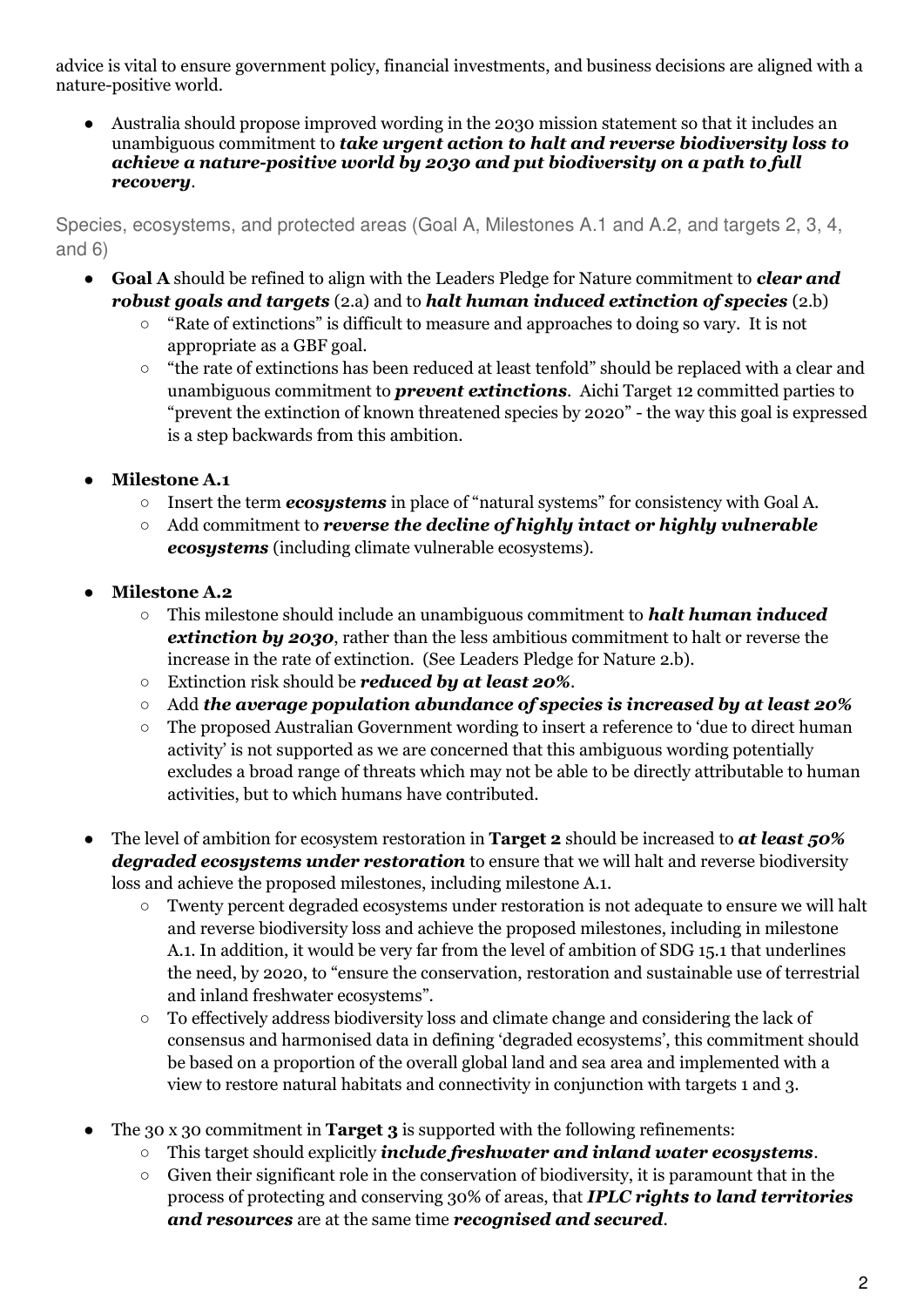advice is vital to ensure government policy, financial investments, and business decisions are aligned with a nature-positive world.

● Australia should propose improved wording in the 2030 mission statement so that it includes an unambiguous commitment to *take urgent action to halt and reverse biodiversity loss to achieve a nature-positive world by 2030 and put biodiversity on a path to full recovery*.

Species, ecosystems, and protected areas (Goal A, Milestones A.1 and A.2, and targets 2, 3, 4, and 6)

- **Goal A** should be refined to align with the Leaders Pledge for Nature commitment to *clear and robust goals and targets* (2.a) and to *halt human induced extinction of species* (2.b)
	- "Rate of extinctions" is difficult to measure and approaches to doing so vary. It is not appropriate as a GBF goal.
	- "the rate of extinctions has been reduced at least tenfold" should be replaced with a clear and unambiguous commitment to *prevent extinctions*. Aichi Target 12 committed parties to "prevent the extinction of known threatened species by 2020" - the way this goal is expressed is a step backwards from this ambition.
- **Milestone A.1** 
	- Insert the term *ecosystems* in place of "natural systems" for consistency with Goal A.
	- Add commitment to *reverse the decline of highly intact or highly vulnerable ecosystems* (including climate vulnerable ecosystems).
- **Milestone A.2** 
	- This milestone should include an unambiguous commitment to *halt human induced extinction by 2030*, rather than the less ambitious commitment to halt or reverse the increase in the rate of extinction. (See Leaders Pledge for Nature 2.b).
	- Extinction risk should be *reduced by at least 20%*.
	- Add *the average population abundance of species is increased by at least 20%*
	- The proposed Australian Government wording to insert a reference to 'due to direct human activity' is not supported as we are concerned that this ambiguous wording potentially excludes a broad range of threats which may not be able to be directly attributable to human activities, but to which humans have contributed.
- The level of ambition for ecosystem restoration in **Target 2** should be increased to *at least 50% degraded ecosystems under restoration* to ensure that we will halt and reverse biodiversity loss and achieve the proposed milestones, including milestone A.1.
	- Twenty percent degraded ecosystems under restoration is not adequate to ensure we will halt and reverse biodiversity loss and achieve the proposed milestones, including in milestone A.1. In addition, it would be very far from the level of ambition of SDG 15.1 that underlines the need, by 2020, to "ensure the conservation, restoration and sustainable use of terrestrial and inland freshwater ecosystems".
	- To effectively address biodiversity loss and climate change and considering the lack of consensus and harmonised data in defining 'degraded ecosystems', this commitment should be based on a proportion of the overall global land and sea area and implemented with a view to restore natural habitats and connectivity in conjunction with targets 1 and 3.
- The 30 x 30 commitment in **Target 3** is supported with the following refinements:
	- This target should explicitly *include freshwater and inland water ecosystems*.
	- $\circ$  Given their significant role in the conservation of biodiversity, it is paramount that in the process of protecting and conserving 30% of areas, that *IPLC rights to land territories and resources* are at the same time *recognised and secured*.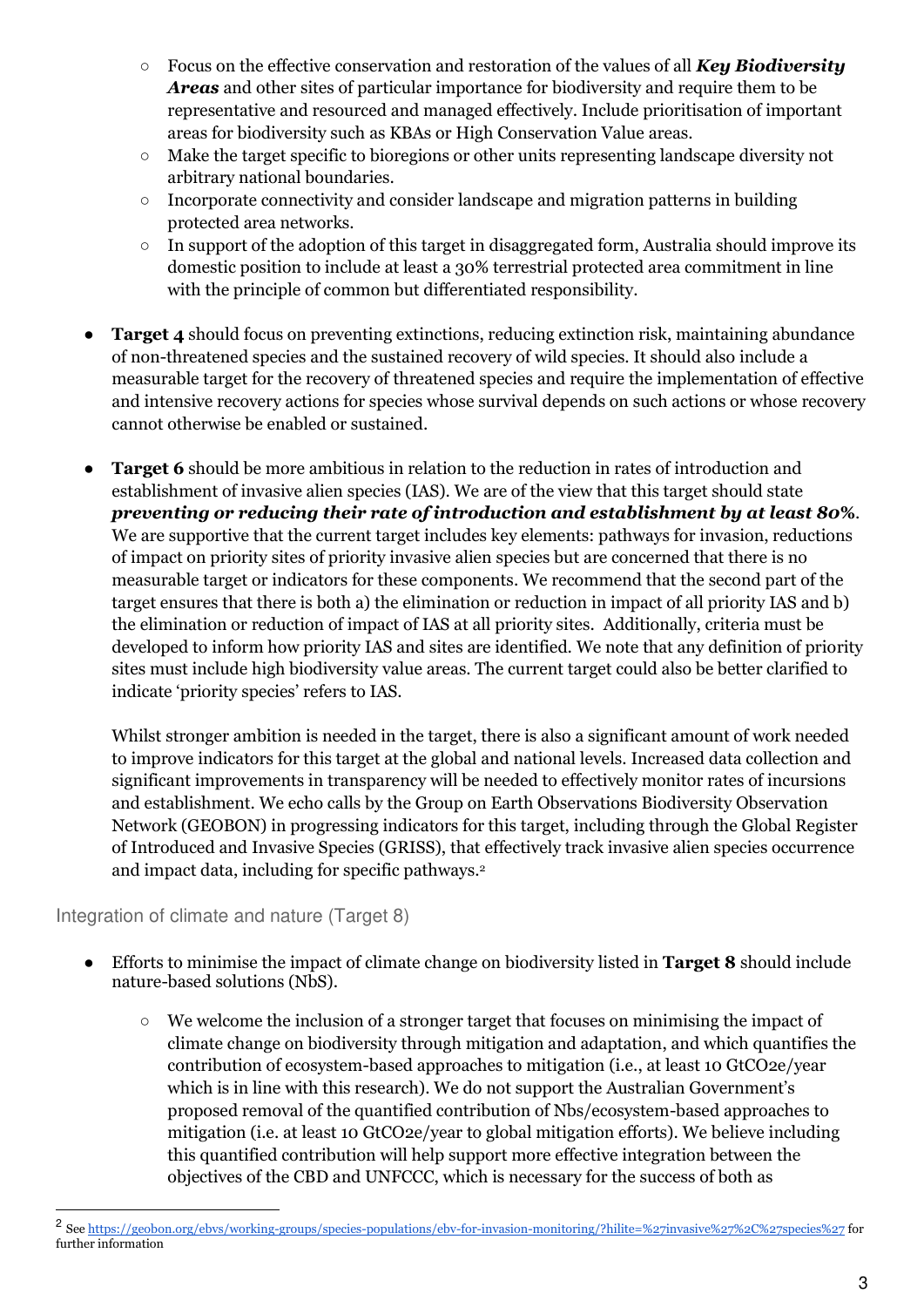- Focus on the effective conservation and restoration of the values of all *Key Biodiversity Areas* and other sites of particular importance for biodiversity and require them to be representative and resourced and managed effectively. Include prioritisation of important areas for biodiversity such as KBAs or High Conservation Value areas.
- Make the target specific to bioregions or other units representing landscape diversity not arbitrary national boundaries.
- $\circ$  Incorporate connectivity and consider landscape and migration patterns in building protected area networks.
- In support of the adoption of this target in disaggregated form, Australia should improve its domestic position to include at least a 30% terrestrial protected area commitment in line with the principle of common but differentiated responsibility.
- **Target 4** should focus on preventing extinctions, reducing extinction risk, maintaining abundance of non-threatened species and the sustained recovery of wild species. It should also include a measurable target for the recovery of threatened species and require the implementation of effective and intensive recovery actions for species whose survival depends on such actions or whose recovery cannot otherwise be enabled or sustained.
- **Target 6** should be more ambitious in relation to the reduction in rates of introduction and establishment of invasive alien species (IAS). We are of the view that this target should state *preventing or reducing their rate of introduction and establishment by at least 80***%**. We are supportive that the current target includes key elements: pathways for invasion, reductions of impact on priority sites of priority invasive alien species but are concerned that there is no measurable target or indicators for these components. We recommend that the second part of the target ensures that there is both a) the elimination or reduction in impact of all priority IAS and b) the elimination or reduction of impact of IAS at all priority sites. Additionally, criteria must be developed to inform how priority IAS and sites are identified. We note that any definition of priority sites must include high biodiversity value areas. The current target could also be better clarified to indicate 'priority species' refers to IAS.

Whilst stronger ambition is needed in the target, there is also a significant amount of work needed to improve indicators for this target at the global and national levels. Increased data collection and significant improvements in transparency will be needed to effectively monitor rates of incursions and establishment. We echo calls by the Group on Earth Observations Biodiversity Observation Network (GEOBON) in progressing indicators for this target, including through the Global Register of Introduced and Invasive Species (GRISS), that effectively track invasive alien species occurrence and impact data, including for specific pathways.<sup>2</sup>

# Integration of climate and nature (Target 8)

- Efforts to minimise the impact of climate change on biodiversity listed in **Target 8** should include nature-based solutions (NbS).
	- We welcome the inclusion of a stronger target that focuses on minimising the impact of climate change on biodiversity through mitigation and adaptation, and which quantifies the contribution of ecosystem-based approaches to mitigation (i.e., at least 10 GtCO2e/year which is in line with this research). We do not support the Australian Government's proposed removal of the quantified contribution of Nbs/ecosystem-based approaches to mitigation (i.e. at least 10 GtCO2e/year to global mitigation efforts). We believe including this quantified contribution will help support more effective integration between the objectives of the CBD and UNFCCC, which is necessary for the success of both as

<sup>&</sup>lt;sup>2</sup> See<https://geobon.org/ebvs/working-groups/species-populations/ebv-for-invasion-monitoring/?hilite=%27invasive%27%2C%27species%27>for further information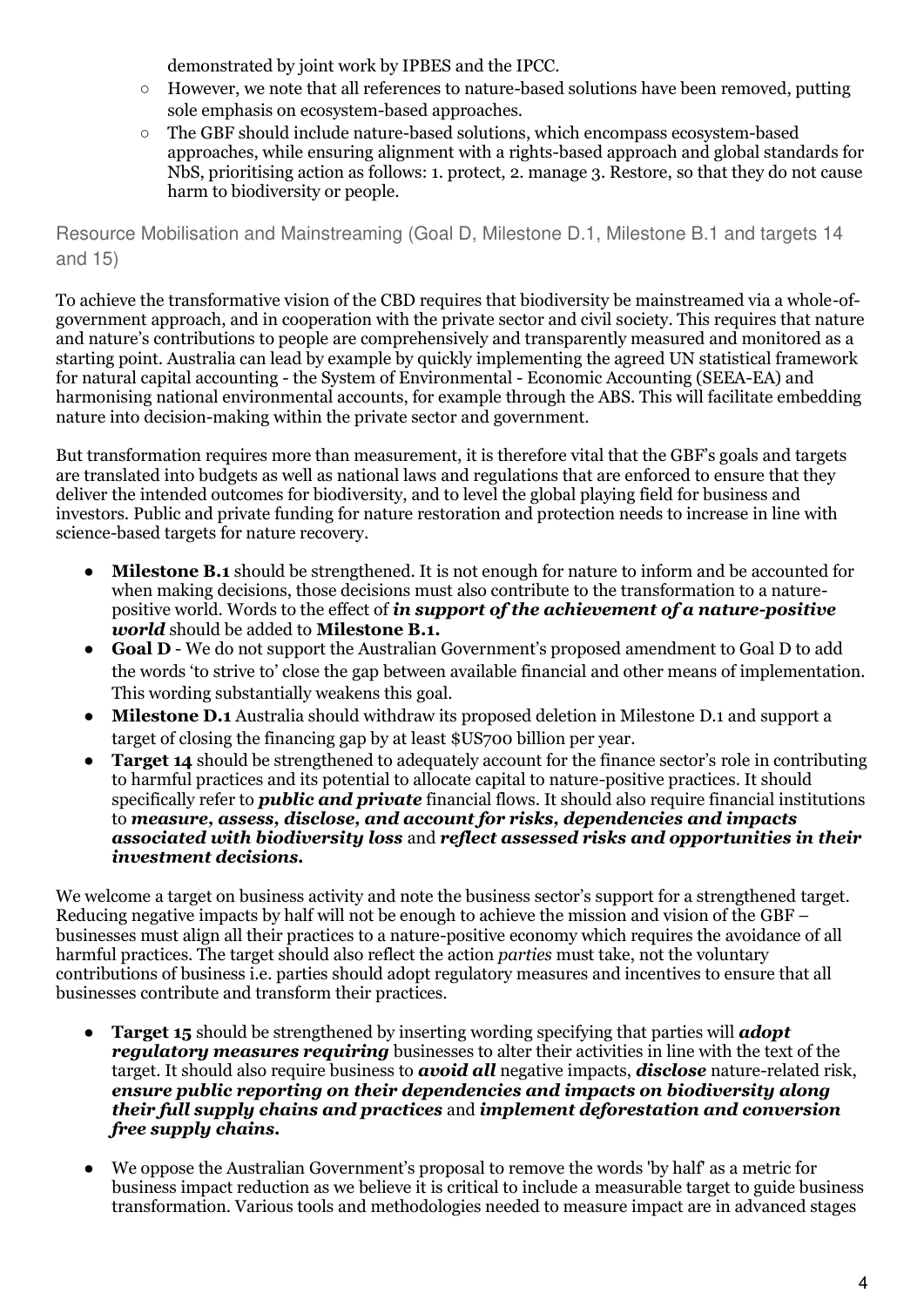demonstrated by joint work by IPBES and the IPCC.

- However, we note that all references to nature-based solutions have been removed, putting sole emphasis on ecosystem-based approaches.
- The GBF should include nature-based solutions, which encompass ecosystem-based approaches, while ensuring alignment with a rights-based approach and global standards for NbS, prioritising action as follows: 1. protect, 2. manage 3. Restore, so that they do not cause harm to biodiversity or people.

Resource Mobilisation and Mainstreaming (Goal D, Milestone D.1, Milestone B.1 and targets 14 and 15)

To achieve the transformative vision of the CBD requires that biodiversity be mainstreamed via a whole-ofgovernment approach, and in cooperation with the private sector and civil society. This requires that nature and nature's contributions to people are comprehensively and transparently measured and monitored as a starting point. Australia can lead by example by quickly implementing the agreed UN statistical framework for natural capital accounting - the System of Environmental - Economic Accounting (SEEA-EA) and harmonising national environmental accounts, for example through the ABS. This will facilitate embedding nature into decision-making within the private sector and government.

But transformation requires more than measurement, it is therefore vital that the GBF's goals and targets are translated into budgets as well as national laws and regulations that are enforced to ensure that they deliver the intended outcomes for biodiversity, and to level the global playing field for business and investors. Public and private funding for nature restoration and protection needs to increase in line with science-based targets for nature recovery.

- Milestone B.1 should be strengthened. It is not enough for nature to inform and be accounted for when making decisions, those decisions must also contribute to the transformation to a naturepositive world. Words to the effect of *in support of the achievement of a nature-positive world* should be added to **Milestone B.1.**
- **Goal D** We do not support the Australian Government's proposed amendment to Goal D to add the words 'to strive to' close the gap between available financial and other means of implementation. This wording substantially weakens this goal.
- **Milestone D.1** Australia should withdraw its proposed deletion in Milestone D.1 and support a target of closing the financing gap by at least \$US700 billion per year.
- **Target 14** should be strengthened to adequately account for the finance sector's role in contributing to harmful practices and its potential to allocate capital to nature-positive practices. It should specifically refer to *public and private* financial flows. It should also require financial institutions to *measure, assess, disclose, and account for risks, dependencies and impacts associated with biodiversity loss* and *reflect assessed risks and opportunities in their investment decisions.*

We welcome a target on business activity and note the business sector's support for a strengthened target. Reducing negative impacts by half will not be enough to achieve the mission and vision of the GBF – businesses must align all their practices to a nature-positive economy which requires the avoidance of all harmful practices. The target should also reflect the action *parties* must take, not the voluntary contributions of business i.e. parties should adopt regulatory measures and incentives to ensure that all businesses contribute and transform their practices.

- **Target 15** should be strengthened by inserting wording specifying that parties will *adopt regulatory measures requiring* businesses to alter their activities in line with the text of the target. It should also require business to *avoid all* negative impacts, *disclose* nature-related risk, *ensure public reporting on their dependencies and impacts on biodiversity along their full supply chains and practices* and *implement deforestation and conversion free supply chains.*
- We oppose the Australian Government's proposal to remove the words 'by half' as a metric for business impact reduction as we believe it is critical to include a measurable target to guide business transformation. Various tools and methodologies needed to measure impact are in advanced stages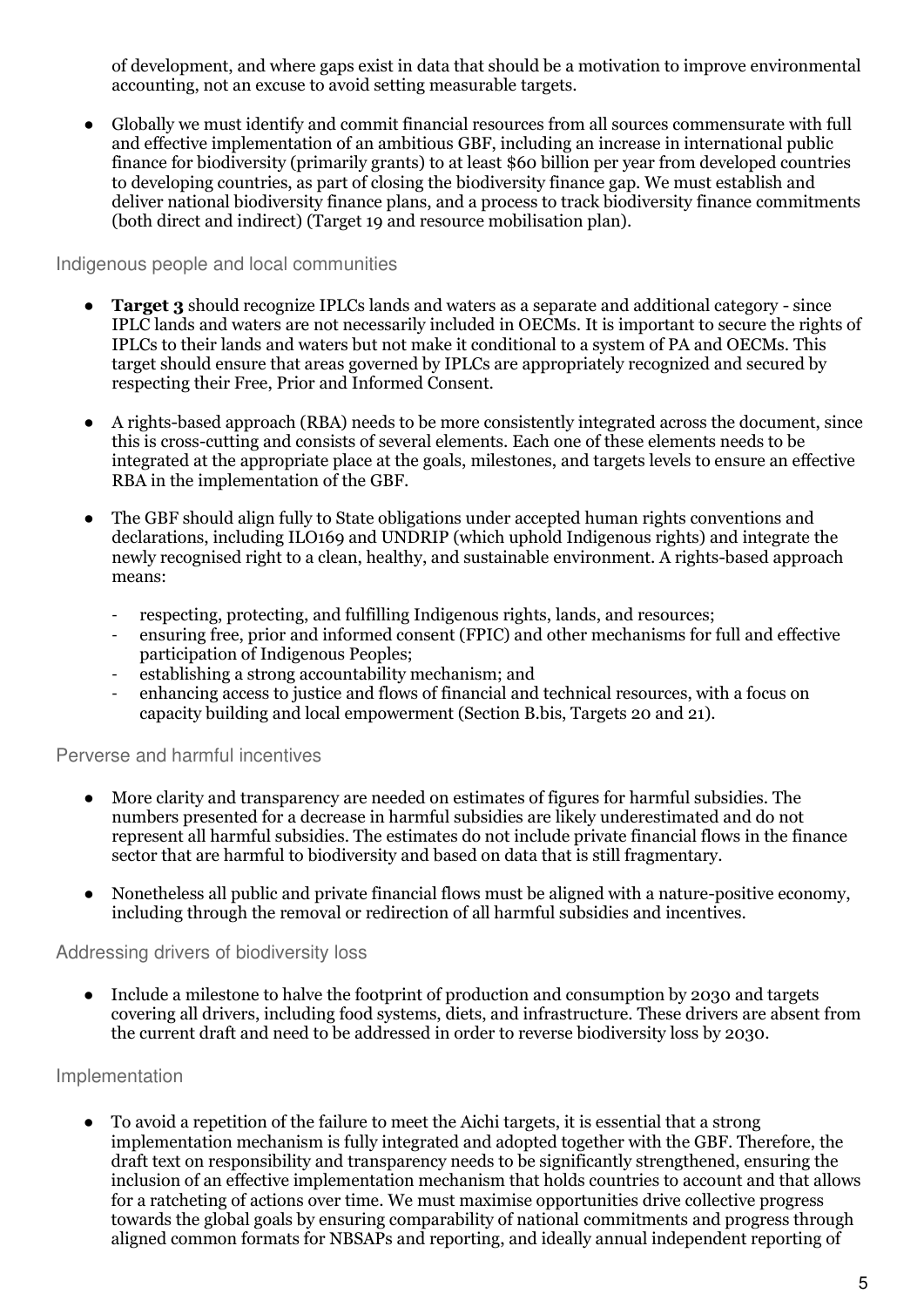of development, and where gaps exist in data that should be a motivation to improve environmental accounting, not an excuse to avoid setting measurable targets.

Globally we must identify and commit financial resources from all sources commensurate with full and effective implementation of an ambitious GBF, including an increase in international public finance for biodiversity (primarily grants) to at least \$60 billion per year from developed countries to developing countries, as part of closing the biodiversity finance gap. We must establish and deliver national biodiversity finance plans, and a process to track biodiversity finance commitments (both direct and indirect) (Target 19 and resource mobilisation plan).

#### Indigenous people and local communities

- **Target 3** should recognize IPLCs lands and waters as a separate and additional category since IPLC lands and waters are not necessarily included in OECMs. It is important to secure the rights of IPLCs to their lands and waters but not make it conditional to a system of PA and OECMs. This target should ensure that areas governed by IPLCs are appropriately recognized and secured by respecting their Free, Prior and Informed Consent.
- A rights-based approach (RBA) needs to be more consistently integrated across the document, since this is cross-cutting and consists of several elements. Each one of these elements needs to be integrated at the appropriate place at the goals, milestones, and targets levels to ensure an effective RBA in the implementation of the GBF.
- The GBF should align fully to State obligations under accepted human rights conventions and declarations, including ILO169 and UNDRIP (which uphold Indigenous rights) and integrate the newly recognised right to a clean, healthy, and sustainable environment. A rights-based approach means:
	- respecting, protecting, and fulfilling Indigenous rights, lands, and resources;
	- ensuring free, prior and informed consent (FPIC) and other mechanisms for full and effective participation of Indigenous Peoples;
	- establishing a strong accountability mechanism; and
	- enhancing access to justice and flows of financial and technical resources, with a focus on capacity building and local empowerment (Section B.bis, Targets 20 and 21).

# Perverse and harmful incentives

- More clarity and transparency are needed on estimates of figures for harmful subsidies. The numbers presented for a decrease in harmful subsidies are likely underestimated and do not represent all harmful subsidies. The estimates do not include private financial flows in the finance sector that are harmful to biodiversity and based on data that is still fragmentary.
- Nonetheless all public and private financial flows must be aligned with a nature-positive economy, including through the removal or redirection of all harmful subsidies and incentives.

# Addressing drivers of biodiversity loss

● Include a milestone to halve the footprint of production and consumption by 2030 and targets covering all drivers, including food systems, diets, and infrastructure. These drivers are absent from the current draft and need to be addressed in order to reverse biodiversity loss by 2030.

# Implementation

● To avoid a repetition of the failure to meet the Aichi targets, it is essential that a strong implementation mechanism is fully integrated and adopted together with the GBF. Therefore, the draft text on responsibility and transparency needs to be significantly strengthened, ensuring the inclusion of an effective implementation mechanism that holds countries to account and that allows for a ratcheting of actions over time. We must maximise opportunities drive collective progress towards the global goals by ensuring comparability of national commitments and progress through aligned common formats for NBSAPs and reporting, and ideally annual independent reporting of